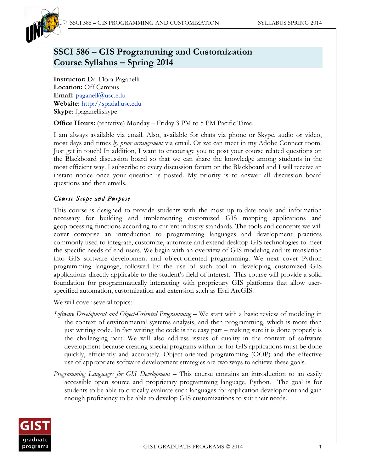

# **SSCI 586 – GIS Programming and Customization Course Syllabus – Spring 2014**

**Instructor:** Dr. Flora Paganelli **Location:** Off Campus **Email:** paganell@usc.edu **Website:** http://spatial.usc.edu **Skype**: fpaganelliskype

**Office Hours:** (tentative) Monday – Friday 3 PM to 5 PM Pacific Time.

I am always available via email. Also, available for chats via phone or Skype, audio or video, most days and times *by prior arrangement* via email. Or we can meet in my Adobe Connect room. Just get in touch! In addition, I want to encourage you to post your course related questions on the Blackboard discussion board so that we can share the knowledge among students in the most efficient way. I subscribe to every discussion forum on the Blackboard and I will receive an instant notice once your question is posted. My priority is to answer all discussion board questions and then emails.

# *Course Scope and Purpose*

This course is designed to provide students with the most up-to-date tools and information necessary for building and implementing customized GIS mapping applications and geoprocessing functions according to current industry standards. The tools and concepts we will cover comprise an introduction to programming languages and development practices commonly used to integrate, customize, automate and extend desktop GIS technologies to meet the specific needs of end users. We begin with an overview of GIS modeling and its translation into GIS software development and object-oriented programming. We next cover Python programming language, followed by the use of such tool in developing customized GIS applications directly applicable to the student's field of interest. This course will provide a solid foundation for programmatically interacting with proprietary GIS platforms that allow userspecified automation, customization and extension such as Esri ArcGIS.

We will cover several topics:

- *Software Development and Object-Oriented Programming* We start with a basic review of modeling in the context of environmental systems analysis, and then programming, which is more than just writing code. In fact writing the code is the easy part – making sure it is done properly is the challenging part. We will also address issues of quality in the context of software development because creating special programs within or for GIS applications must be done quickly, efficiently and accurately. Object-oriented programming (OOP) and the effective use of appropriate software development strategies are two ways to achieve these goals.
- *Programming Languages for GIS Development –* This course contains an introduction to an easily accessible open source and proprietary programming language, Python. The goal is for students to be able to critically evaluate such languages for application development and gain enough proficiency to be able to develop GIS customizations to suit their needs.

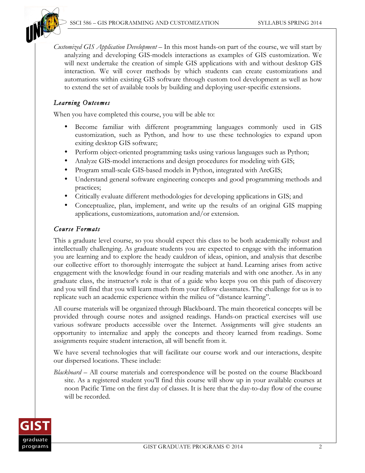

*Customized GIS Application Development* – In this most hands-on part of the course, we will start by analyzing and developing GIS-models interactions as examples of GIS customization. We will next undertake the creation of simple GIS applications with and without desktop GIS interaction. We will cover methods by which students can create customizations and automations within existing GIS software through custom tool development as well as how to extend the set of available tools by building and deploying user-specific extensions.

# *Learning Outcomes*

When you have completed this course, you will be able to:

- Become familiar with different programming languages commonly used in GIS customization, such as Python, and how to use these technologies to expand upon exiting desktop GIS software;
- Perform object-oriented programming tasks using various languages such as Python;
- Analyze GIS-model interactions and design procedures for modeling with GIS;
- Program small-scale GIS-based models in Python, integrated with ArcGIS;
- Understand general software engineering concepts and good programming methods and practices;
- Critically evaluate different methodologies for developing applications in GIS; and
- Conceptualize, plan, implement, and write up the results of an original GIS mapping applications, customizations, automation and/or extension.

# *Course Formats*

This a graduate level course, so you should expect this class to be both academically robust and intellectually challenging. As graduate students you are expected to engage with the information you are learning and to explore the heady cauldron of ideas, opinion, and analysis that describe our collective effort to thoroughly interrogate the subject at hand. Learning arises from active engagement with the knowledge found in our reading materials and with one another. As in any graduate class, the instructor's role is that of a guide who keeps you on this path of discovery and you will find that you will learn much from your fellow classmates. The challenge for us is to replicate such an academic experience within the milieu of "distance learning".

All course materials will be organized through Blackboard. The main theoretical concepts will be provided through course notes and assigned readings. Hands-on practical exercises will use various software products accessible over the Internet. Assignments will give students an opportunity to internalize and apply the concepts and theory learned from readings. Some assignments require student interaction, all will benefit from it.

We have several technologies that will facilitate our course work and our interactions, despite our dispersed locations. These include:

*Blackboard* – All course materials and correspondence will be posted on the course Blackboard site. As a registered student you'll find this course will show up in your available courses at noon Pacific Time on the first day of classes. It is here that the day-to-day flow of the course will be recorded.

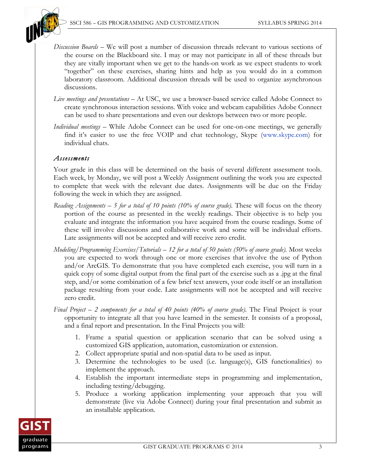

- *Discussion Boards* We will post a number of discussion threads relevant to various sections of the course on the Blackboard site. I may or may not participate in all of these threads but they are vitally important when we get to the hands-on work as we expect students to work "together" on these exercises, sharing hints and help as you would do in a common laboratory classroom. Additional discussion threads will be used to organize asynchronous discussions.
- *Live meetings and presentations* At USC, we use a browser-based service called Adobe Connect to create synchronous interaction sessions. With voice and webcam capabilities Adobe Connect can be used to share presentations and even our desktops between two or more people.
- *Individual meetings* While Adobe Connect can be used for one-on-one meetings, we generally find it's easier to use the free VOIP and chat technology, Skype (www.skype.com) for individual chats.

## *Assessments*

Your grade in this class will be determined on the basis of several different assessment tools. Each week, by Monday, we will post a Weekly Assignment outlining the work you are expected to complete that week with the relevant due dates. Assignments will be due on the Friday following the week in which they are assigned.

- *Reading Assignments 5 for a total of 10 points (10% of course grade).* These will focus on the theory portion of the course as presented in the weekly readings. Their objective is to help you evaluate and integrate the information you have acquired from the course readings. Some of these will involve discussions and collaborative work and some will be individual efforts. Late assignments will not be accepted and will receive zero credit.
- *Modeling/Programming Exercises/Tutorials 12 for a total of 50 points (50% of course grade).* Most weeks you are expected to work through one or more exercises that involve the use of Python and/or ArcGIS. To demonstrate that you have completed each exercise, you will turn in a quick copy of some digital output from the final part of the exercise such as a .jpg at the final step, and/or some combination of a few brief text answers, your code itself or an installation package resulting from your code. Late assignments will not be accepted and will receive zero credit.
- *Final Project 2 components for a total of 40 points (40% of course grade).* The Final Project is your opportunity to integrate all that you have learned in the semester. It consists of a proposal, and a final report and presentation. In the Final Projects you will:
	- 1. Frame a spatial question or application scenario that can be solved using a customized GIS application, automation, customization or extension.
	- 2. Collect appropriate spatial and non-spatial data to be used as input.
	- 3. Determine the technologies to be used (i.e. language(s), GIS functionalities) to implement the approach.
	- 4. Establish the important intermediate steps in programming and implementation, including testing/debugging.
	- 5. Produce a working application implementing your approach that you will demonstrate (live via Adobe Connect) during your final presentation and submit as an installable application.

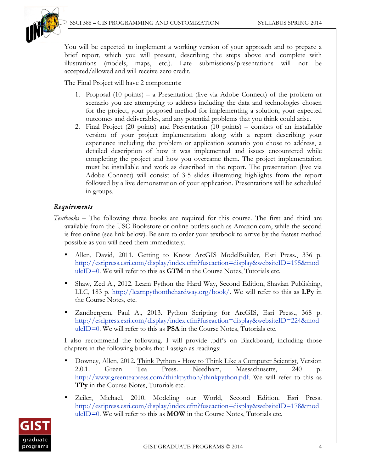

You will be expected to implement a working version of your approach and to prepare a brief report, which you will present, describing the steps above and complete with illustrations (models, maps, etc.). Late submissions/presentations will not be accepted/allowed and will receive zero credit.

The Final Project will have 2 components:

- 1. Proposal (10 points) a Presentation (live via Adobe Connect) of the problem or scenario you are attempting to address including the data and technologies chosen for the project, your proposed method for implementing a solution, your expected outcomes and deliverables, and any potential problems that you think could arise.
- 2. Final Project (20 points) and Presentation (10 points) consists of an installable version of your project implementation along with a report describing your experience including the problem or application scenario you chose to address, a detailed description of how it was implemented and issues encountered while completing the project and how you overcame them. The project implementation must be installable and work as described in the report. The presentation (live via Adobe Connect) will consist of 3-5 slides illustrating highlights from the report followed by a live demonstration of your application. Presentations will be scheduled in groups.

## *Requirements*

- *Textbooks –* The following three books are required for this course. The first and third are available from the USC Bookstore or online outlets such as Amazon.com, while the second is free online (see link below). Be sure to order your textbook to arrive by the fastest method possible as you will need them immediately.
	- Allen, David, 2011. Getting to Know ArcGIS ModelBuilder, Esri Press., 336 p. http://esripress.esri.com/display/index.cfm?fuseaction=display&websiteID=195&mod uleID=0. We will refer to this as  $GTM$  in the Course Notes, Tutorials etc.
	- Shaw, Zed A., 2012. Learn Python the Hard Way, Second Edition, Shavian Publishing, LLC, 183 p. http://learnpythonthehardway.org/book/. We will refer to this as **LPy** in the Course Notes, etc.
	- Zandbergern, Paul A., 2013. Python Scripting for ArcGIS, Esri Press., 368 p. http://esripress.esri.com/display/index.cfm?fuseaction=display&websiteID=224&mod uleID=0. We will refer to this as **PSA** in the Course Notes, Tutorials etc.

I also recommend the following. I will provide .pdf's on Blackboard, including those chapters in the following books that I assign as readings:

- Downey, Allen, 2012. Think Python How to Think Like a Computer Scientist, Version 2.0.1. Green Tea Press. Needham, Massachusetts, 240 p. http://www.greenteapress.com/thinkpython/thinkpython.pdf. We will refer to this as **TPy** in the Course Notes, Tutorials etc.
- Zeiler, Michael, 2010. Modeling our World, Second Edition. Esri Press. http://esripress.esri.com/display/index.cfm?fuseaction=display&websiteID=178&mod uleID=0. We will refer to this as **MOW** in the Course Notes, Tutorials etc.

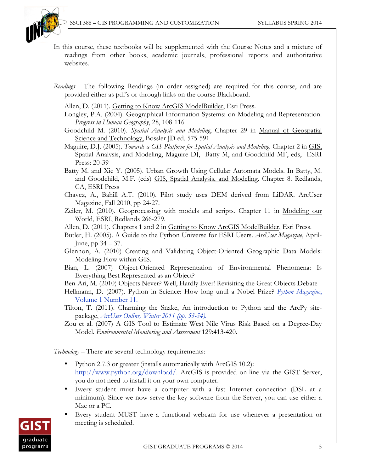

- In this course, these textbooks will be supplemented with the Course Notes and a mixture of readings from other books, academic journals, professional reports and authoritative websites.
- *Readings -* The following Readings (in order assigned) are required for this course, and are provided either as pdf's or through links on the course Blackboard.
	- Allen, D. (2011). Getting to Know ArcGIS ModelBuilder, Esri Press.
	- Longley, P.A. (2004). Geographical Information Systems: on Modeling and Representation. *Progress in Human Geography*, 28, 108-116
	- Goodchild M. (2010). *Spatial Analysis and Modeling*, Chapter 29 in Manual of Geospatial Science and Technology, Bossler JD ed. 575-591
	- Maguire, D.J. (2005). *Towards a GIS Platform for Spatial Analysis and Modeling.* Chapter 2 in GIS, Spatial Analysis, and Modeling, Maguire DJ, Batty M, and Goodchild MF, eds, ESRI Press: 20-39
	- Batty M. and Xie Y. (2005). Urban Growth Using Cellular Automata Models. In Batty, M. and Goodchild, M.F. (eds) GIS, Spatial Analysis, and Modeling. Chapter 8. Redlands, CA, ESRI Press
	- Chavez, A., Bahill A.T. (2010). Pilot study uses DEM derived from LiDAR. ArcUser Magazine, Fall 2010, pp 24-27.
	- Zeiler, M. (2010). Geoprocessing with models and scripts*.* Chapter 11 in Modeling our World, ESRI, Redlands 266-279.
	- Allen, D. (2011). Chapters 1 and 2 in Getting to Know ArcGIS ModelBuilder, Esri Press.
	- Butler, H. (2005). A Guide to the Python Universe for ESRI Users. *ArcUser Magazine*, April-June, pp 34 – 37.
	- Glennon, A. (2010) Creating and Validating Object-Oriented Geographic Data Models: Modeling Flow within GIS.
	- Bian, L. (2007) Object-Oriented Representation of Environmental Phenomena: Is Everything Best Represented as an Object?
	- Ben-Ari, M. (2010) Objects Never? Well, Hardly Ever! Revisiting the Great Objects Debate
	- Hellmann, D. (2007). Python in Science: How long until a Nobel Prize? *Python Magazine*, Volume 1 Number 11.
	- Tilton, T. (2011). Charming the Snake, An introduction to Python and the ArcPy sitepackage, *ArcUser Online, Winter 2011 (pp. 53-54).*

Zou et al. (2007) A GIS Tool to Estimate West Nile Virus Risk Based on a Degree-Day Model. *Environmental Monitoring and Assessment* 129:413-420.

*Technology –* There are several technology requirements:

- Python 2.7.3 or greater (installs automatically with ArcGIS 10.2): http://www.python.org/download/. ArcGIS is provided on-line via the GIST Server, you do not need to install it on your own computer.
- Every student must have a computer with a fast Internet connection (DSL at a minimum). Since we now serve the key software from the Server, you can use either a Mac or a PC.
- Every student MUST have a functional webcam for use whenever a presentation or meeting is scheduled.

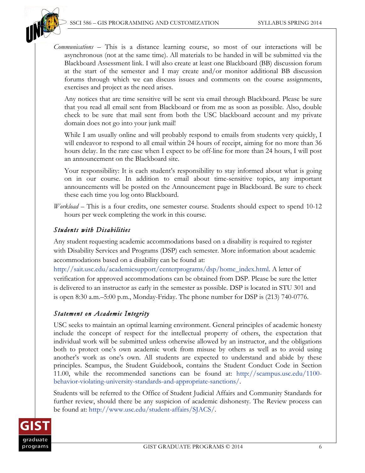

*Communications* – This is a distance learning course, so most of our interactions will be asynchronous (not at the same time). All materials to be handed in will be submitted via the Blackboard Assessment link. I will also create at least one Blackboard (BB) discussion forum at the start of the semester and I may create and/or monitor additional BB discussion forums through which we can discuss issues and comments on the course assignments, exercises and project as the need arises.

Any notices that are time sensitive will be sent via email through Blackboard. Please be sure that you read all email sent from Blackboard or from me as soon as possible. Also, double check to be sure that mail sent from both the USC blackboard account and my private domain does not go into your junk mail!

While I am usually online and will probably respond to emails from students very quickly, I will endeavor to respond to all email within 24 hours of receipt, aiming for no more than 36 hours delay. In the rare case when I expect to be off-line for more than 24 hours, I will post an announcement on the Blackboard site.

Your responsibility: It is each student's responsibility to stay informed about what is going on in our course. In addition to email about time-sensitive topics, any important announcements will be posted on the Announcement page in Blackboard. Be sure to check these each time you log onto Blackboard.

*Workload* – This is a four credits, one semester course. Students should expect to spend 10-12 hours per week completing the work in this course.

## *Students with Disabilities*

Any student requesting academic accommodations based on a disability is required to register with Disability Services and Programs (DSP) each semester. More information about academic accommodations based on a disability can be found at:

http://sait.usc.edu/academicsupport/centerprograms/dsp/home\_index.html. A letter of verification for approved accommodations can be obtained from DSP. Please be sure the letter is delivered to an instructor as early in the semester as possible. DSP is located in STU 301 and is open 8:30 a.m.–5:00 p.m., Monday-Friday. The phone number for DSP is (213) 740-0776.

# *Statement on Academic Integrity*

USC seeks to maintain an optimal learning environment. General principles of academic honesty include the concept of respect for the intellectual property of others, the expectation that individual work will be submitted unless otherwise allowed by an instructor, and the obligations both to protect one's own academic work from misuse by others as well as to avoid using another's work as one's own. All students are expected to understand and abide by these principles. Scampus, the Student Guidebook, contains the Student Conduct Code in Section 11.00, while the recommended sanctions can be found at: http://scampus.usc.edu/1100 behavior-violating-university-standards-and-appropriate-sanctions/.

Students will be referred to the Office of Student Judicial Affairs and Community Standards for further review, should there be any suspicion of academic dishonesty. The Review process can be found at: http://www.usc.edu/student-affairs/SJACS/.

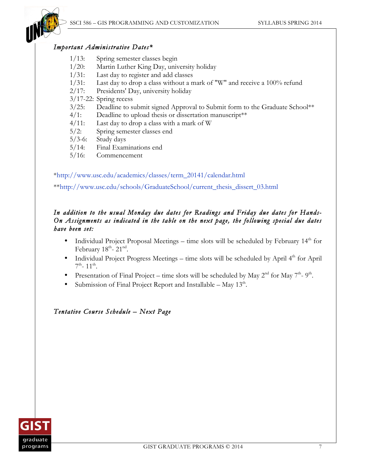

#### *Important Administrative Dates\**

- 1/13: Spring semester classes begin
- 1/20: Martin Luther King Day, university holiday
- 1/31: Last day to register and add classes
- 1/31: Last day to drop a class without a mark of "W" and receive a 100% refund
- 2/17: Presidents' Day, university holiday
- 3/17-22: Spring recess
- 3/25: Deadline to submit signed Approval to Submit form to the Graduate School\*\*
- 4/1: Deadline to upload thesis or dissertation manuscript<sup>\*\*</sup>
- 4/11: Last day to drop a class with a mark of W
- 5/2: Spring semester classes end
- 5/3-6: Study days
- 5/14: Final Examinations end
- 5/16: Commencement

\*http://www.usc.edu/academics/classes/term\_20141/calendar.html

\*\*http://www.usc.edu/schools/GraduateSchool/current\_thesis\_dissert\_03.html

## *In addition to the usual Monday due dates for Readings and Friday due dates for Hands-On Assignments as indicated in the table on the next page, the following special due dates have been set:*

- Individual Project Proposal Meetings time slots will be scheduled by February  $14<sup>th</sup>$  for February  $18^{\text{th}}$ -  $21^{\text{nd}}$ .
- Individual Project Progress Meetings time slots will be scheduled by April  $4<sup>th</sup>$  for April  $7^{\text{th}}$ - 11<sup>th</sup>.
- Presentation of Final Project time slots will be scheduled by May  $2^{nd}$  for May  $7^{th}$   $9^{th}$ .
- Submission of Final Project Report and Installable May  $13<sup>th</sup>$ .

## *Tentative Course Schedule – Next Page*

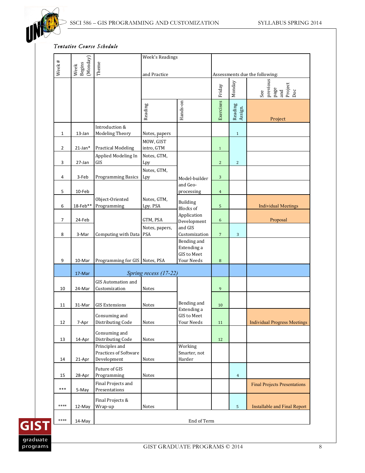

#### *Tentative Course Schedule*

|                |                            |                                                  | <b>Week's Readings</b>    |                                                         |                                |                    |                                                  |
|----------------|----------------------------|--------------------------------------------------|---------------------------|---------------------------------------------------------|--------------------------------|--------------------|--------------------------------------------------|
| Week#          | (Monday)<br>Week<br>Begins | Theme                                            |                           |                                                         |                                |                    |                                                  |
|                |                            |                                                  | and Practice              |                                                         | Assessments due the following: |                    |                                                  |
|                |                            |                                                  |                           |                                                         | Friday                         | Monday             | previous<br>page<br>and<br>Project<br>Doc<br>See |
|                |                            |                                                  | Reading                   | Hands-on                                                | Exercises                      | Reading<br>Assign. | Project                                          |
|                |                            | Introduction &                                   |                           |                                                         |                                |                    |                                                  |
| $\mathbf{1}$   | 13-Jan                     | <b>Modeling Theory</b>                           | Notes, papers             |                                                         |                                | $\mathbf{1}$       |                                                  |
|                |                            |                                                  | MOW, GIST                 |                                                         |                                |                    |                                                  |
| $\overline{2}$ | $21$ -Jan $*$              | <b>Practical Modeling</b><br>Applied Modeling In | intro, GTM<br>Notes, GTM, |                                                         | $\mathbf{1}$                   |                    |                                                  |
| 3              | 27-Jan                     | GIS                                              | Lpy                       |                                                         | $\overline{c}$                 | $\overline{c}$     |                                                  |
| 4              | 3-Feb                      | <b>Programming Basics</b>                        | Notes, GTM,<br>Lpy        | Model-builder                                           | $\overline{3}$                 |                    |                                                  |
| 5              | 10-Feb                     |                                                  |                           | and Geo-<br>processing                                  | $\overline{4}$                 |                    |                                                  |
| 6              | 18-Feb**                   | Object-Oriented<br>Programming                   | Notes, GTM,<br>Lpy. PSA   | Building<br><b>Blocks</b> of                            | 5                              |                    | <b>Individual Meetings</b>                       |
| 7              | 24-Feb                     |                                                  | GTM, PSA                  | Application                                             | 6                              |                    | Proposal                                         |
|                |                            |                                                  | Notes, papers,            | Development<br>and GIS                                  |                                |                    |                                                  |
| 8              | 3-Mar                      | Computing with Data                              | <b>PSA</b>                | Customization                                           | $\overline{7}$                 | 3                  |                                                  |
| 9              | 10-Mar                     | Programming for GIS Notes, PSA                   |                           | Bending and<br>Extending a<br>GIS to Meet<br>Your Needs | 8                              |                    |                                                  |
|                |                            |                                                  |                           |                                                         |                                |                    |                                                  |
|                | 17-Mar                     | <b>GIS Automation and</b>                        | Spring recess (17-22)     |                                                         |                                |                    |                                                  |
| 10             | 24-Mar                     | Customization                                    | Notes                     |                                                         | 9                              |                    |                                                  |
|                |                            |                                                  |                           |                                                         |                                |                    |                                                  |
| 11             | 31-Mar                     | <b>GIS Extensions</b>                            | Notes                     | Bending and                                             | 10                             |                    |                                                  |
|                |                            | Consuming and                                    |                           | Extending a<br>GIS to Meet                              |                                |                    |                                                  |
| 12             | 7-Apr                      | Distributing Code                                | Notes                     | Your Needs                                              | 11                             |                    | <b>Individual Progress Meetings</b>              |
| 13             | 14-Apr                     | Consuming and<br>Distributing Code               | Notes                     |                                                         | 12                             |                    |                                                  |
|                |                            | Principles and<br>Practices of Software          |                           | Working<br>Smarter, not                                 |                                |                    |                                                  |
| 14             | 21-Apr                     | Development                                      | Notes                     | Harder                                                  |                                |                    |                                                  |
| 15             | 28-Apr                     | Future of GIS<br>Programming                     | Notes                     |                                                         |                                | $\overline{4}$     |                                                  |
|                |                            | Final Projects and                               |                           |                                                         |                                |                    | <b>Final Projects Presentations</b>              |
| ***            | 5-May                      | Presentations                                    |                           |                                                         |                                |                    |                                                  |
| ****           | 12-May                     | Final Projects &<br>Wrap-up                      | Notes                     |                                                         |                                | 5                  | <b>Installable and Final Report</b>              |
| $****$         | 14-May                     | End of Term                                      |                           |                                                         |                                |                    |                                                  |